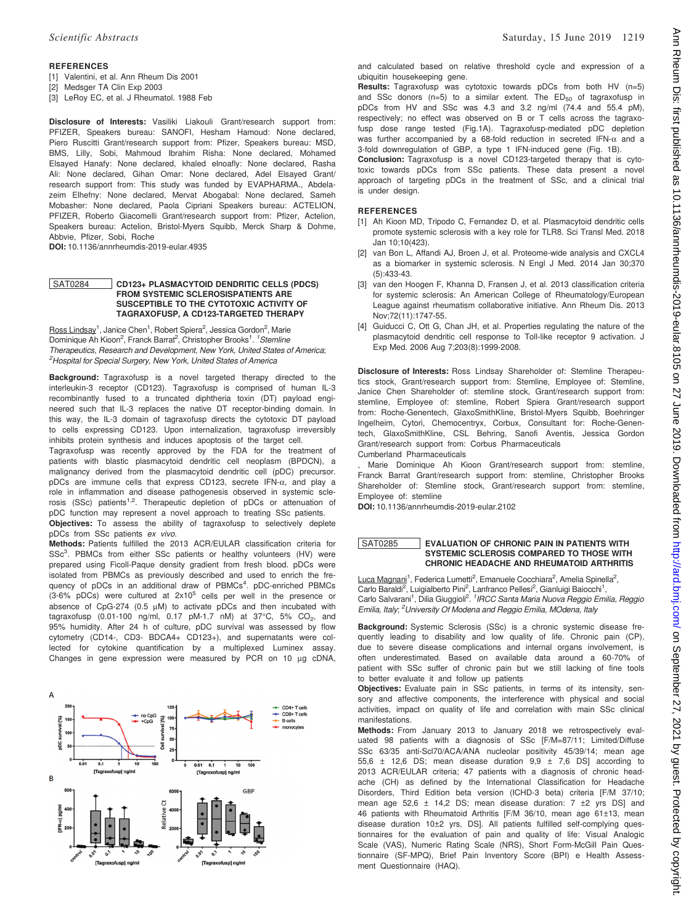# **REFERENCES**

- [1] Valentini, et al. Ann Rheum Dis 2001
- [2] Medsger TA Clin Exp 2003
- [3] LeRoy EC, et al. J Rheumatol. 1988 Feb

Disclosure of Interests: Vasiliki Liakouli Grant/research support from: PFIZER, Speakers bureau: SANOFI, Hesham Hamoud: None declared, Piero Ruscitti Grant/research support from: Pfizer, Speakers bureau: MSD, BMS, Lilly, Sobi, Mahmoud Ibrahim Risha: None declared, Mohamed Elsayed Hanafy: None declared, khaled elnoafly: None declared, Rasha Ali: None declared, Gihan Omar: None declared, Adel Elsayed Grant/ research support from: This study was funded by EVAPHARMA., Abdelazeim Elhefny: None declared, Mervat Abogabal: None declared, Sameh Mobasher: None declared, Paola Cipriani Speakers bureau: ACTELION, PFIZER, Roberto Giacomelli Grant/research support from: Pfizer, Actelion, Speakers bureau: Actelion, Bristol-Myers Squibb, Merck Sharp & Dohme, Abbvie, Pfizer, Sobi, Roche

DOI: 10.1136/annrheumdis-2019-eular.4935

## SAT0284 CD123+ PLASMACYTOID DENDRITIC CELLS (PDCS) FROM SYSTEMIC SCLEROSISPATIENTS ARE SUSCEPTIBLE TO THE CYTOTOXIC ACTIVITY OF TAGRAXOFUSP, A CD123-TARGETED THERAPY

Ross Lindsay<sup>1</sup>, Janice Chen<sup>1</sup>, Robert Spiera<sup>2</sup>, Jessica Gordon<sup>2</sup>, Marie Dominique Ah Kioon<sup>2</sup>, Franck Barrat<sup>2</sup>, Christopher Brooks<sup>1</sup>. <sup>1</sup> Stemline Therapeutics, Research and Development, New York, United States of America; <sup>2</sup>Hospital for Special Surgery, New York, United States of America

Background: Tagraxofusp is a novel targeted therapy directed to the interleukin-3 receptor (CD123). Tagraxofusp is comprised of human IL-3 recombinantly fused to a truncated diphtheria toxin (DT) payload engineered such that IL-3 replaces the native DT receptor-binding domain. In this way, the IL-3 domain of tagraxofusp directs the cytotoxic DT payload to cells expressing CD123. Upon internalization, tagraxofusp irreversibly inhibits protein synthesis and induces apoptosis of the target cell.

Tagraxofusp was recently approved by the FDA for the treatment of patients with blastic plasmacytoid dendritic cell neoplasm (BPDCN), a malignancy derived from the plasmacytoid dendritic cell (pDC) precursor. pDCs are immune cells that express CD123, secrete IFN-a, and play a role in inflammation and disease pathogenesis observed in systemic sclerosis (SSc) patients<sup>1,2</sup>. Therapeutic depletion of pDCs or attenuation of pDC function may represent a novel approach to treating SSc patients.

Objectives: To assess the ability of tagraxofusp to selectively deplete pDCs from SSc patients ex vivo.

Methods: Patients fulfilled the 2013 ACR/EULAR classification criteria for SSc<sup>3</sup>. PBMCs from either SSc patients or healthy volunteers (HV) were prepared using Ficoll-Paque density gradient from fresh blood. pDCs were isolated from PBMCs as previously described and used to enrich the frequency of pDCs in an additional draw of PBMCs<sup>4</sup>. pDC-enriched PBMCs  $(3-6\% \text{ pDCs})$  were cultured at  $2x10^5$  cells per well in the presence or absence of CpG-274 (0.5 µM) to activate pDCs and then incubated with<br>tagraxofusp (0.01-100 ng/ml, 0.17 pM-1.7 nM) at 37°C, 5% CO<sub>2</sub>, and 95% humidity. After 24 h of culture, pDC survival was assessed by flow cytometry (CD14-, CD3- BDCA4+ CD123+), and supernatants were collected for cytokine quantification by a multiplexed Luminex assay. Changes in gene expression were measured by PCR on 10 µg cDNA,



Scientific Abstracts Saturday, 15 June 2019 1219

and calculated based on relative threshold cycle and expression of a ubiquitin housekeeping gene.

Results: Tagraxofusp was cytotoxic towards pDCs from both HV (n=5) and SSc donors (n=5) to a similar extent. The  $ED_{50}$  of tagraxofusp in pDCs from HV and SSc was 4.3 and 3.2 ng/ml (74.4 and 55.4 pM), respectively; no effect was observed on B or T cells across the tagraxofusp dose range tested (Fig.1A). Tagraxofusp-mediated pDC depletion was further accompanied by a 68-fold reduction in secreted IFN- $\alpha$  and a 3-fold downregulation of GBP, a type 1 IFN-induced gene (Fig. 1B).

Conclusion: Tagraxofusp is a novel CD123-targeted therapy that is cytotoxic towards pDCs from SSc patients. These data present a novel approach of targeting pDCs in the treatment of SSc, and a clinical trial is under design.

## **REFERENCES**

- [1] Ah Kioon MD, Tripodo C, Fernandez D, et al. Plasmacytoid dendritic cells promote systemic sclerosis with a key role for TLR8. Sci Transl Med. 2018 Jan 10;10(423).
- [2] van Bon L, Affandi AJ, Broen J, et al. Proteome-wide analysis and CXCL4 as a biomarker in systemic sclerosis. N Engl J Med. 2014 Jan 30;370 (5):433-43.
- [3] van den Hoogen F, Khanna D, Fransen J, et al. 2013 classification criteria for systemic sclerosis: An American College of Rheumatology/European League against rheumatism collaborative initiative. Ann Rheum Dis. 2013 Nov;72(11):1747-55.
- [4] Guiducci C, Ott G, Chan JH, et al. Properties regulating the nature of the plasmacytoid dendritic cell response to Toll-like receptor 9 activation. J Exp Med. 2006 Aug 7;203(8):1999-2008.

Disclosure of Interests: Ross Lindsay Shareholder of: Stemline Therapeutics stock, Grant/research support from: Stemline, Employee of: Stemline, Janice Chen Shareholder of: stemline stock, Grant/research support from: stemline, Employee of: stemline, Robert Spiera Grant/research support from: Roche-Genentech, GlaxoSmithKline, Bristol-Myers Squibb, Boehringer Ingelheim, Cytori, Chemocentryx, Corbux, Consultant for: Roche-Genentech, GlaxoSmithKline, CSL Behring, Sanofi Aventis, Jessica Gordon Grant/research support from: Corbus Pharmaceuticals Cumberland Pharmaceuticals

, Marie Dominique Ah Kioon Grant/research support from: stemline, Franck Barrat Grant/research support from: stemline, Christopher Brooks Shareholder of: Stemline stock, Grant/research support from: stemline, Employee of: stemline

DOI: 10.1136/annrheumdis-2019-eular.2102

#### SAT0285 EVALUATION OF CHRONIC PAIN IN PATIENTS WITH SYSTEMIC SCLEROSIS COMPARED TO THOSE WITH CHRONIC HEADACHE AND RHEUMATOID ARTHRITIS

Luca Magnani<sup>1</sup>, Federica Lumetti<sup>2</sup>, Emanuele Cocchiara<sup>2</sup>, Amelia Spinella<sup>2</sup>, Carlo Baraldi<sup>2</sup>, Luigialberto Pini<sup>2</sup>, Lanfranco Pellesi<sup>2</sup>, Gianluigi Baiocchi<sup>1</sup>,<br>Carlo Salvarani<sup>1</sup>, Dilia Giuggioli<sup>2, *1 IRCC Santa Maria Nuova Reggio Emilia, Reggio*</sup> Emilia, Italy; <sup>2</sup>University Of Modena and Reggio Emilia, MOdena, Italy

Background: Systemic Sclerosis (SSc) is a chronic systemic disease frequently leading to disability and low quality of life. Chronic pain (CP), due to severe disease complications and internal organs involvement, is often underestimated. Based on available data around a 60-70% of patient with SSc suffer of chronic pain but we still lacking of fine tools to better evaluate it and follow up patients

Objectives: Evaluate pain in SSc patients, in terms of its intensity, sensory and affective components, the interference with physical and social activities, impact on quality of life and correlation with main SSc clinical manifestations.

Methods: From January 2013 to January 2018 we retrospectively evaluated 98 patients with a diagnosis of SSc [F/M=87/11; Limited/Diffuse SSc 63/35 anti-Scl70/ACA/ANA nucleolar positivity 45/39/14; mean age 55,6  $\pm$  12,6 DS; mean disease duration 9,9  $\pm$  7,6 DS] according to 2013 ACR/EULAR criteria; 47 patients with a diagnosis of chronic headache (CH) as defined by the International Classification for Headache Disorders, Third Edition beta version (ICHD-3 beta) criteria [F/M 37/10; mean age 52,6  $\pm$  14,2 DS; mean disease duration: 7  $\pm$ 2 yrs DS] and 46 patients with Rheumatoid Arthritis [F/M 36/10, mean age 61±13, mean disease duration 10±2 yrs, DS]. All patients fulfilled self-complying questionnaires for the evaluation of pain and quality of life: Visual Analogic Scale (VAS), Numeric Rating Scale (NRS), Short Form-McGill Pain Questionnaire (SF-MPQ), Brief Pain Inventory Score (BPI) e Health Assessment Questionnaire (HAQ).